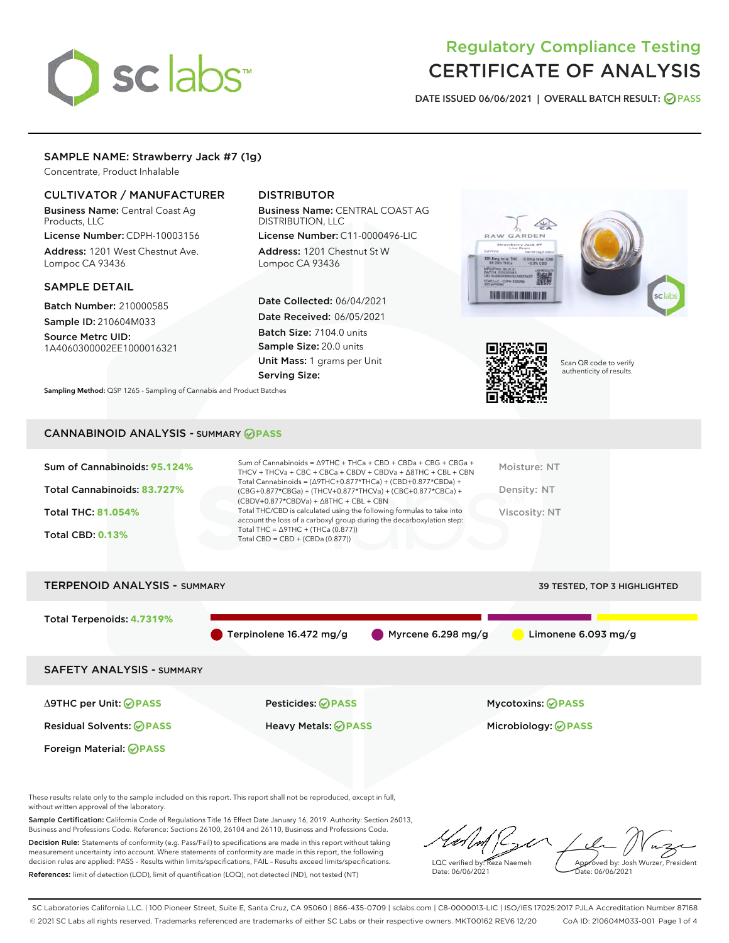# sclabs

# Regulatory Compliance Testing CERTIFICATE OF ANALYSIS

DATE ISSUED 06/06/2021 | OVERALL BATCH RESULT: @ PASS

# SAMPLE NAME: Strawberry Jack #7 (1g)

Concentrate, Product Inhalable

# CULTIVATOR / MANUFACTURER

Business Name: Central Coast Ag Products, LLC

License Number: CDPH-10003156 Address: 1201 West Chestnut Ave. Lompoc CA 93436

#### SAMPLE DETAIL

Batch Number: 210000585 Sample ID: 210604M033

Source Metrc UID: 1A4060300002EE1000016321

# DISTRIBUTOR

Business Name: CENTRAL COAST AG DISTRIBUTION, LLC

License Number: C11-0000496-LIC Address: 1201 Chestnut St W Lompoc CA 93436

Date Collected: 06/04/2021 Date Received: 06/05/2021 Batch Size: 7104.0 units Sample Size: 20.0 units Unit Mass: 1 grams per Unit Serving Size:





Scan QR code to verify authenticity of results.

Sampling Method: QSP 1265 - Sampling of Cannabis and Product Batches

# CANNABINOID ANALYSIS - SUMMARY **PASS**

| Sum of Cannabinoids: 95.124% | Sum of Cannabinoids = ∆9THC + THCa + CBD + CBDa + CBG + CBGa +<br>THCV + THCVa + CBC + CBCa + CBDV + CBDVa + $\Delta$ 8THC + CBL + CBN                                               | Moisture: NT  |
|------------------------------|--------------------------------------------------------------------------------------------------------------------------------------------------------------------------------------|---------------|
| Total Cannabinoids: 83.727%  | Total Cannabinoids = $(\Delta$ 9THC+0.877*THCa) + (CBD+0.877*CBDa) +<br>(CBG+0.877*CBGa) + (THCV+0.877*THCVa) + (CBC+0.877*CBCa) +<br>$(CBDV+0.877*CBDVa) + \Delta 8THC + CBL + CBN$ | Density: NT   |
| <b>Total THC: 81.054%</b>    | Total THC/CBD is calculated using the following formulas to take into<br>account the loss of a carboxyl group during the decarboxylation step:                                       | Viscosity: NT |
| <b>Total CBD: 0.13%</b>      | Total THC = $\triangle$ 9THC + (THCa (0.877))<br>Total CBD = $CBD + (CBDa (0.877))$                                                                                                  |               |
|                              |                                                                                                                                                                                      |               |



These results relate only to the sample included on this report. This report shall not be reproduced, except in full, without written approval of the laboratory.

Sample Certification: California Code of Regulations Title 16 Effect Date January 16, 2019. Authority: Section 26013, Business and Professions Code. Reference: Sections 26100, 26104 and 26110, Business and Professions Code.

Decision Rule: Statements of conformity (e.g. Pass/Fail) to specifications are made in this report without taking measurement uncertainty into account. Where statements of conformity are made in this report, the following decision rules are applied: PASS – Results within limits/specifications, FAIL – Results exceed limits/specifications. References: limit of detection (LOD), limit of quantification (LOQ), not detected (ND), not tested (NT)

LQC verified by: Reza Naemeh Date: 06/06/2021 Approved by: Josh Wurzer, President Date: 06/06/2021

SC Laboratories California LLC. | 100 Pioneer Street, Suite E, Santa Cruz, CA 95060 | 866-435-0709 | sclabs.com | C8-0000013-LIC | ISO/IES 17025:2017 PJLA Accreditation Number 87168 © 2021 SC Labs all rights reserved. Trademarks referenced are trademarks of either SC Labs or their respective owners. MKT00162 REV6 12/20 CoA ID: 210604M033-001 Page 1 of 4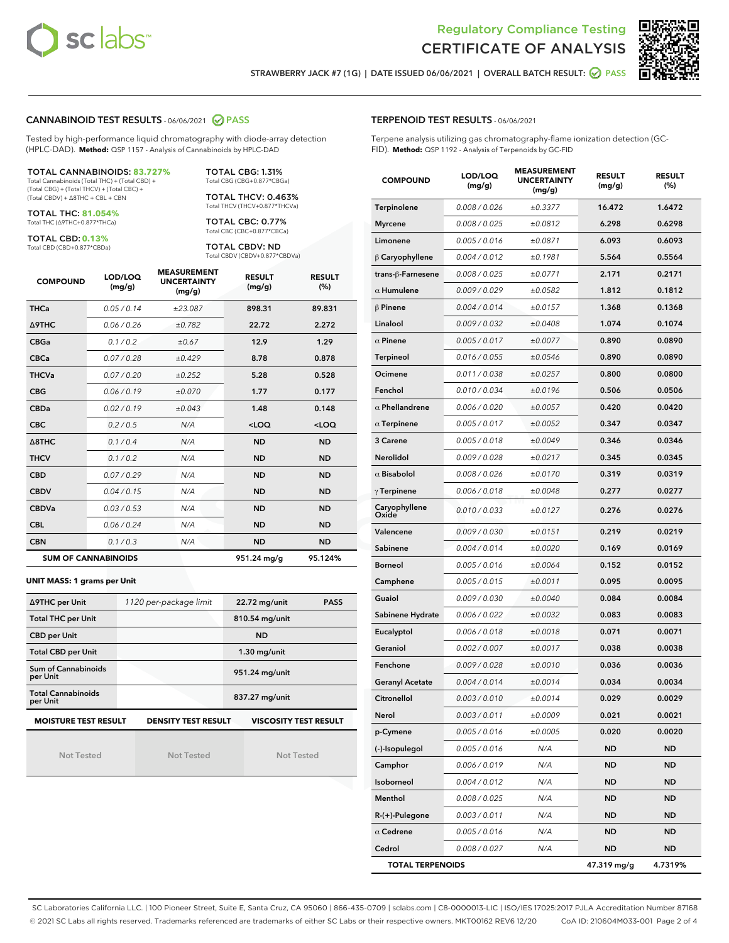



STRAWBERRY JACK #7 (1G) | DATE ISSUED 06/06/2021 | OVERALL BATCH RESULT:  $\bigcirc$  PASS

#### CANNABINOID TEST RESULTS - 06/06/2021 2 PASS

Tested by high-performance liquid chromatography with diode-array detection (HPLC-DAD). **Method:** QSP 1157 - Analysis of Cannabinoids by HPLC-DAD

#### TOTAL CANNABINOIDS: **83.727%**

Total Cannabinoids (Total THC) + (Total CBD) + (Total CBG) + (Total THCV) + (Total CBC) + (Total CBDV) + ∆8THC + CBL + CBN

TOTAL THC: **81.054%** Total THC (∆9THC+0.877\*THCa)

TOTAL CBD: **0.13%**

Total CBD (CBD+0.877\*CBDa)

TOTAL CBG: 1.31% Total CBG (CBG+0.877\*CBGa)

TOTAL THCV: 0.463% Total THCV (THCV+0.877\*THCVa)

TOTAL CBC: 0.77% Total CBC (CBC+0.877\*CBCa)

TOTAL CBDV: ND Total CBDV (CBDV+0.877\*CBDVa)

| <b>COMPOUND</b>  | LOD/LOQ<br>(mg/g)          | <b>MEASUREMENT</b><br><b>UNCERTAINTY</b><br>(mg/g) | <b>RESULT</b><br>(mg/g) | <b>RESULT</b><br>(%) |
|------------------|----------------------------|----------------------------------------------------|-------------------------|----------------------|
| <b>THCa</b>      | 0.05/0.14                  | ±23.087                                            | 898.31                  | 89.831               |
| <b>A9THC</b>     | 0.06 / 0.26                | ±0.782                                             | 22.72                   | 2.272                |
| <b>CBGa</b>      | 0.1/0.2                    | ±0.67                                              | 12.9                    | 1.29                 |
| <b>CBCa</b>      | 0.07 / 0.28                | ±0.429                                             | 8.78                    | 0.878                |
| <b>THCVa</b>     | 0.07/0.20                  | ±0.252                                             | 5.28                    | 0.528                |
| <b>CBG</b>       | 0.06/0.19                  | ±0.070                                             | 1.77                    | 0.177                |
| <b>CBDa</b>      | 0.02/0.19                  | ±0.043                                             | 1.48                    | 0.148                |
| <b>CBC</b>       | 0.2 / 0.5                  | N/A                                                | $<$ LOQ                 | $<$ LOQ              |
| $\triangle$ 8THC | 0.1/0.4                    | N/A                                                | <b>ND</b>               | <b>ND</b>            |
| <b>THCV</b>      | 0.1/0.2                    | N/A                                                | <b>ND</b>               | <b>ND</b>            |
| <b>CBD</b>       | 0.07/0.29                  | N/A                                                | <b>ND</b>               | <b>ND</b>            |
| <b>CBDV</b>      | 0.04 / 0.15                | N/A                                                | <b>ND</b>               | <b>ND</b>            |
| <b>CBDVa</b>     | 0.03 / 0.53                | N/A                                                | <b>ND</b>               | <b>ND</b>            |
| <b>CBL</b>       | 0.06 / 0.24                | N/A                                                | <b>ND</b>               | <b>ND</b>            |
| <b>CBN</b>       | 0.1/0.3                    | N/A                                                | <b>ND</b>               | <b>ND</b>            |
|                  | <b>SUM OF CANNABINOIDS</b> |                                                    | 951.24 mg/g             | 95.124%              |

#### **UNIT MASS: 1 grams per Unit**

| ∆9THC per Unit                        | 1120 per-package limit     | 22.72 mg/unit<br><b>PASS</b> |
|---------------------------------------|----------------------------|------------------------------|
| <b>Total THC per Unit</b>             |                            | 810.54 mg/unit               |
| <b>CBD per Unit</b>                   |                            | <b>ND</b>                    |
| <b>Total CBD per Unit</b>             |                            | $1.30$ mg/unit               |
| Sum of Cannabinoids<br>per Unit       |                            | 951.24 mg/unit               |
| <b>Total Cannabinoids</b><br>per Unit |                            | 837.27 mg/unit               |
| <b>MOISTURE TEST RESULT</b>           | <b>DENSITY TEST RESULT</b> | <b>VISCOSITY TEST RESULT</b> |

Not Tested

Not Tested

Not Tested

#### TERPENOID TEST RESULTS - 06/06/2021

Terpene analysis utilizing gas chromatography-flame ionization detection (GC-FID). **Method:** QSP 1192 - Analysis of Terpenoids by GC-FID

| <b>COMPOUND</b>         | LOD/LOQ<br>(mg/g) | <b>MEASUREMENT</b><br><b>UNCERTAINTY</b><br>(mg/g) | <b>RESULT</b><br>(mg/g) | <b>RESULT</b><br>$(\%)$ |
|-------------------------|-------------------|----------------------------------------------------|-------------------------|-------------------------|
| Terpinolene             | 0.008 / 0.026     | ±0.3377                                            | 16.472                  | 1.6472                  |
| <b>Myrcene</b>          | 0.008 / 0.025     | ±0.0812                                            | 6.298                   | 0.6298                  |
| Limonene                | 0.005 / 0.016     | ±0.0871                                            | 6.093                   | 0.6093                  |
| $\beta$ Caryophyllene   | 0.004 / 0.012     | ±0.1981                                            | 5.564                   | 0.5564                  |
| trans-ß-Farnesene       | 0.008 / 0.025     | ±0.0771                                            | 2.171                   | 0.2171                  |
| $\alpha$ Humulene       | 0.009/0.029       | ±0.0582                                            | 1.812                   | 0.1812                  |
| $\beta$ Pinene          | 0.004 / 0.014     | ±0.0157                                            | 1.368                   | 0.1368                  |
| Linalool                | 0.009 / 0.032     | ±0.0408                                            | 1.074                   | 0.1074                  |
| $\alpha$ Pinene         | 0.005 / 0.017     | ±0.0077                                            | 0.890                   | 0.0890                  |
| Terpineol               | 0.016 / 0.055     | ±0.0546                                            | 0.890                   | 0.0890                  |
| Ocimene                 | 0.011 / 0.038     | ±0.0257                                            | 0.800                   | 0.0800                  |
| Fenchol                 | 0.010 / 0.034     | ±0.0196                                            | 0.506                   | 0.0506                  |
| $\alpha$ Phellandrene   | 0.006 / 0.020     | ±0.0057                                            | 0.420                   | 0.0420                  |
| $\alpha$ Terpinene      | 0.005 / 0.017     | ±0.0052                                            | 0.347                   | 0.0347                  |
| 3 Carene                | 0.005 / 0.018     | ±0.0049                                            | 0.346                   | 0.0346                  |
| <b>Nerolidol</b>        | 0.009 / 0.028     | ±0.0217                                            | 0.345                   | 0.0345                  |
| $\alpha$ Bisabolol      | 0.008 / 0.026     | ±0.0170                                            | 0.319                   | 0.0319                  |
| $\gamma$ Terpinene      | 0.006 / 0.018     | ±0.0048                                            | 0.277                   | 0.0277                  |
| Caryophyllene<br>Oxide  | 0.010 / 0.033     | ±0.0127                                            | 0.276                   | 0.0276                  |
| Valencene               | 0.009 / 0.030     | ±0.0151                                            | 0.219                   | 0.0219                  |
| Sabinene                | 0.004 / 0.014     | ±0.0020                                            | 0.169                   | 0.0169                  |
| <b>Borneol</b>          | 0.005 / 0.016     | ±0.0064                                            | 0.152                   | 0.0152                  |
| Camphene                | 0.005 / 0.015     | ±0.0011                                            | 0.095                   | 0.0095                  |
| Guaiol                  | 0.009 / 0.030     | ±0.0040                                            | 0.084                   | 0.0084                  |
| Sabinene Hydrate        | 0.006 / 0.022     | ±0.0032                                            | 0.083                   | 0.0083                  |
| Eucalyptol              | 0.006 / 0.018     | ±0.0018                                            | 0.071                   | 0.0071                  |
| Geraniol                | 0.002 / 0.007     | ±0.0017                                            | 0.038                   | 0.0038                  |
| Fenchone                | 0.009 / 0.028     | ±0.0010                                            | 0.036                   | 0.0036                  |
| <b>Geranyl Acetate</b>  | 0.004 / 0.014     | ±0.0014                                            | 0.034                   | 0.0034                  |
| Citronellol             | 0.003 / 0.010     | ±0.0014                                            | 0.029                   | 0.0029                  |
| Nerol                   | 0.003 / 0.011     | ±0.0009                                            | 0.021                   | 0.0021                  |
| p-Cymene                | 0.005 / 0.016     | ±0.0005                                            | 0.020                   | 0.0020                  |
| (-)-Isopulegol          | 0.005 / 0.016     | N/A                                                | ND                      | ND                      |
| Camphor                 | 0.006 / 0.019     | N/A                                                | ND                      | <b>ND</b>               |
| Isoborneol              | 0.004 / 0.012     | N/A                                                | ND                      | ND                      |
| Menthol                 | 0.008 / 0.025     | N/A                                                | ND                      | ND                      |
| $R-(+)$ -Pulegone       | 0.003 / 0.011     | N/A                                                | ND                      | <b>ND</b>               |
| $\alpha$ Cedrene        | 0.005 / 0.016     | N/A                                                | ND                      | ND                      |
| Cedrol                  | 0.008 / 0.027     | N/A                                                | ND                      | <b>ND</b>               |
| <b>TOTAL TERPENOIDS</b> |                   |                                                    | 47.319 mg/g             | 4.7319%                 |

SC Laboratories California LLC. | 100 Pioneer Street, Suite E, Santa Cruz, CA 95060 | 866-435-0709 | sclabs.com | C8-0000013-LIC | ISO/IES 17025:2017 PJLA Accreditation Number 87168 © 2021 SC Labs all rights reserved. Trademarks referenced are trademarks of either SC Labs or their respective owners. MKT00162 REV6 12/20 CoA ID: 210604M033-001 Page 2 of 4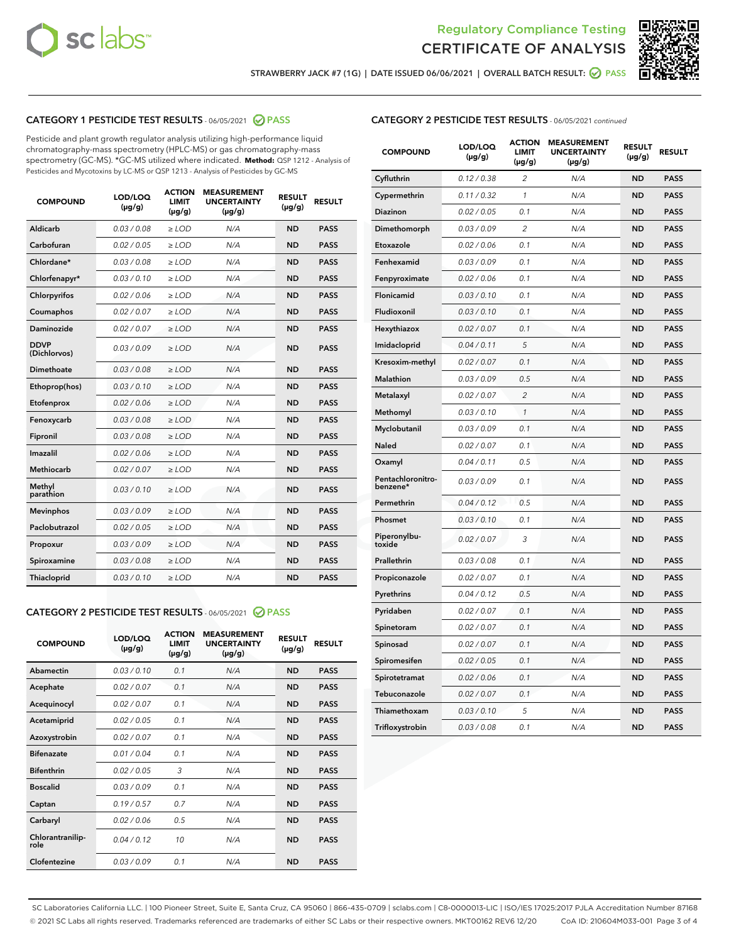



STRAWBERRY JACK #7 (1G) | DATE ISSUED 06/06/2021 | OVERALL BATCH RESULT: @ PASS

# CATEGORY 1 PESTICIDE TEST RESULTS - 06/05/2021 2 PASS

Pesticide and plant growth regulator analysis utilizing high-performance liquid chromatography-mass spectrometry (HPLC-MS) or gas chromatography-mass spectrometry (GC-MS). \*GC-MS utilized where indicated. **Method:** QSP 1212 - Analysis of Pesticides and Mycotoxins by LC-MS or QSP 1213 - Analysis of Pesticides by GC-MS

| <b>COMPOUND</b>             | LOD/LOQ<br>$(\mu g/g)$ | <b>ACTION</b><br><b>LIMIT</b><br>$(\mu g/g)$ | <b>MEASUREMENT</b><br><b>UNCERTAINTY</b><br>$(\mu g/g)$ | <b>RESULT</b><br>$(\mu g/g)$ | <b>RESULT</b> |
|-----------------------------|------------------------|----------------------------------------------|---------------------------------------------------------|------------------------------|---------------|
| Aldicarb                    | 0.03 / 0.08            | $\ge$ LOD                                    | N/A                                                     | <b>ND</b>                    | <b>PASS</b>   |
| Carbofuran                  | 0.02/0.05              | $>$ LOD                                      | N/A                                                     | <b>ND</b>                    | <b>PASS</b>   |
| Chlordane*                  | 0.03 / 0.08            | $\ge$ LOD                                    | N/A                                                     | <b>ND</b>                    | <b>PASS</b>   |
| Chlorfenapyr*               | 0.03/0.10              | $\ge$ LOD                                    | N/A                                                     | <b>ND</b>                    | <b>PASS</b>   |
| Chlorpyrifos                | 0.02 / 0.06            | $\ge$ LOD                                    | N/A                                                     | <b>ND</b>                    | <b>PASS</b>   |
| Coumaphos                   | 0.02/0.07              | $>$ LOD                                      | N/A                                                     | <b>ND</b>                    | <b>PASS</b>   |
| <b>Daminozide</b>           | 0.02 / 0.07            | $\ge$ LOD                                    | N/A                                                     | <b>ND</b>                    | <b>PASS</b>   |
| <b>DDVP</b><br>(Dichlorvos) | 0.03/0.09              | $\ge$ LOD                                    | N/A                                                     | <b>ND</b>                    | <b>PASS</b>   |
| <b>Dimethoate</b>           | 0.03 / 0.08            | $\ge$ LOD                                    | N/A                                                     | <b>ND</b>                    | <b>PASS</b>   |
| Ethoprop(hos)               | 0.03/0.10              | $\ge$ LOD                                    | N/A                                                     | <b>ND</b>                    | <b>PASS</b>   |
| Etofenprox                  | 0.02 / 0.06            | $\ge$ LOD                                    | N/A                                                     | <b>ND</b>                    | <b>PASS</b>   |
| Fenoxycarb                  | 0.03 / 0.08            | $\ge$ LOD                                    | N/A                                                     | <b>ND</b>                    | <b>PASS</b>   |
| Fipronil                    | 0.03/0.08              | $>$ LOD                                      | N/A                                                     | <b>ND</b>                    | <b>PASS</b>   |
| Imazalil                    | 0.02 / 0.06            | $\ge$ LOD                                    | N/A                                                     | <b>ND</b>                    | <b>PASS</b>   |
| Methiocarb                  | 0.02 / 0.07            | $\ge$ LOD                                    | N/A                                                     | <b>ND</b>                    | <b>PASS</b>   |
| Methyl<br>parathion         | 0.03/0.10              | $>$ LOD                                      | N/A                                                     | <b>ND</b>                    | <b>PASS</b>   |
| <b>Mevinphos</b>            | 0.03/0.09              | $>$ LOD                                      | N/A                                                     | <b>ND</b>                    | <b>PASS</b>   |
| Paclobutrazol               | 0.02 / 0.05            | $\ge$ LOD                                    | N/A                                                     | <b>ND</b>                    | <b>PASS</b>   |
| Propoxur                    | 0.03/0.09              | $>$ LOD                                      | N/A                                                     | <b>ND</b>                    | <b>PASS</b>   |
| Spiroxamine                 | 0.03 / 0.08            | $\ge$ LOD                                    | N/A                                                     | <b>ND</b>                    | <b>PASS</b>   |
| Thiacloprid                 | 0.03/0.10              | $\ge$ LOD                                    | N/A                                                     | <b>ND</b>                    | <b>PASS</b>   |

#### CATEGORY 2 PESTICIDE TEST RESULTS - 06/05/2021 @ PASS

| <b>COMPOUND</b>          | LOD/LOQ<br>$(\mu g/g)$ | <b>ACTION</b><br><b>LIMIT</b><br>$(\mu g/g)$ | <b>MEASUREMENT</b><br><b>UNCERTAINTY</b><br>$(\mu g/g)$ | <b>RESULT</b><br>$(\mu g/g)$ | <b>RESULT</b> |
|--------------------------|------------------------|----------------------------------------------|---------------------------------------------------------|------------------------------|---------------|
| Abamectin                | 0.03/0.10              | 0.1                                          | N/A                                                     | <b>ND</b>                    | <b>PASS</b>   |
| Acephate                 | 0.02/0.07              | 0.1                                          | N/A                                                     | <b>ND</b>                    | <b>PASS</b>   |
| Acequinocyl              | 0.02/0.07              | 0.1                                          | N/A                                                     | <b>ND</b>                    | <b>PASS</b>   |
| Acetamiprid              | 0.02/0.05              | 0.1                                          | N/A                                                     | <b>ND</b>                    | <b>PASS</b>   |
| Azoxystrobin             | 0.02/0.07              | 0.1                                          | N/A                                                     | <b>ND</b>                    | <b>PASS</b>   |
| <b>Bifenazate</b>        | 0.01/0.04              | 0.1                                          | N/A                                                     | <b>ND</b>                    | <b>PASS</b>   |
| <b>Bifenthrin</b>        | 0.02 / 0.05            | 3                                            | N/A                                                     | <b>ND</b>                    | <b>PASS</b>   |
| <b>Boscalid</b>          | 0.03/0.09              | 0.1                                          | N/A                                                     | <b>ND</b>                    | <b>PASS</b>   |
| Captan                   | 0.19/0.57              | 0.7                                          | N/A                                                     | <b>ND</b>                    | <b>PASS</b>   |
| Carbaryl                 | 0.02/0.06              | 0.5                                          | N/A                                                     | <b>ND</b>                    | <b>PASS</b>   |
| Chlorantranilip-<br>role | 0.04/0.12              | 10                                           | N/A                                                     | <b>ND</b>                    | <b>PASS</b>   |
| Clofentezine             | 0.03/0.09              | 0.1                                          | N/A                                                     | <b>ND</b>                    | <b>PASS</b>   |

| <b>CATEGORY 2 PESTICIDE TEST RESULTS</b> - 06/05/2021 continued |  |  |
|-----------------------------------------------------------------|--|--|
|                                                                 |  |  |

| <b>COMPOUND</b>               | LOD/LOQ<br>(µg/g) | <b>ACTION</b><br><b>LIMIT</b><br>(µg/g) | <b>MEASUREMENT</b><br><b>UNCERTAINTY</b><br>$(\mu g/g)$ | <b>RESULT</b><br>(µg/g) | <b>RESULT</b> |
|-------------------------------|-------------------|-----------------------------------------|---------------------------------------------------------|-------------------------|---------------|
| Cyfluthrin                    | 0.12 / 0.38       | $\overline{c}$                          | N/A                                                     | <b>ND</b>               | <b>PASS</b>   |
| Cypermethrin                  | 0.11/0.32         | 1                                       | N/A                                                     | <b>ND</b>               | <b>PASS</b>   |
| <b>Diazinon</b>               | 0.02 / 0.05       | 0.1                                     | N/A                                                     | <b>ND</b>               | <b>PASS</b>   |
| Dimethomorph                  | 0.03 / 0.09       | 2                                       | N/A                                                     | <b>ND</b>               | <b>PASS</b>   |
| Etoxazole                     | 0.02 / 0.06       | 0.1                                     | N/A                                                     | <b>ND</b>               | <b>PASS</b>   |
| Fenhexamid                    | 0.03 / 0.09       | 0.1                                     | N/A                                                     | <b>ND</b>               | <b>PASS</b>   |
| Fenpyroximate                 | 0.02 / 0.06       | 0.1                                     | N/A                                                     | <b>ND</b>               | <b>PASS</b>   |
| Flonicamid                    | 0.03 / 0.10       | 0.1                                     | N/A                                                     | <b>ND</b>               | <b>PASS</b>   |
| Fludioxonil                   | 0.03 / 0.10       | 0.1                                     | N/A                                                     | <b>ND</b>               | <b>PASS</b>   |
| Hexythiazox                   | 0.02 / 0.07       | 0.1                                     | N/A                                                     | <b>ND</b>               | <b>PASS</b>   |
| Imidacloprid                  | 0.04 / 0.11       | 5                                       | N/A                                                     | <b>ND</b>               | <b>PASS</b>   |
| Kresoxim-methyl               | 0.02 / 0.07       | 0.1                                     | N/A                                                     | <b>ND</b>               | <b>PASS</b>   |
| Malathion                     | 0.03 / 0.09       | 0.5                                     | N/A                                                     | <b>ND</b>               | <b>PASS</b>   |
| Metalaxyl                     | 0.02 / 0.07       | $\overline{c}$                          | N/A                                                     | <b>ND</b>               | <b>PASS</b>   |
| Methomyl                      | 0.03 / 0.10       | 1                                       | N/A                                                     | <b>ND</b>               | <b>PASS</b>   |
| Myclobutanil                  | 0.03/0.09         | 0.1                                     | N/A                                                     | <b>ND</b>               | <b>PASS</b>   |
| Naled                         | 0.02 / 0.07       | 0.1                                     | N/A                                                     | <b>ND</b>               | <b>PASS</b>   |
| Oxamyl                        | 0.04 / 0.11       | 0.5                                     | N/A                                                     | <b>ND</b>               | <b>PASS</b>   |
| Pentachloronitro-<br>benzene* | 0.03 / 0.09       | 0.1                                     | N/A                                                     | <b>ND</b>               | <b>PASS</b>   |
| Permethrin                    | 0.04 / 0.12       | 0.5                                     | N/A                                                     | <b>ND</b>               | <b>PASS</b>   |
| Phosmet                       | 0.03 / 0.10       | 0.1                                     | N/A                                                     | <b>ND</b>               | <b>PASS</b>   |
| Piperonylbu-<br>toxide        | 0.02 / 0.07       | 3                                       | N/A                                                     | <b>ND</b>               | <b>PASS</b>   |
| Prallethrin                   | 0.03 / 0.08       | 0.1                                     | N/A                                                     | <b>ND</b>               | <b>PASS</b>   |
| Propiconazole                 | 0.02 / 0.07       | 0.1                                     | N/A                                                     | <b>ND</b>               | <b>PASS</b>   |
| Pyrethrins                    | 0.04 / 0.12       | 0.5                                     | N/A                                                     | <b>ND</b>               | <b>PASS</b>   |
| Pyridaben                     | 0.02 / 0.07       | 0.1                                     | N/A                                                     | <b>ND</b>               | <b>PASS</b>   |
| Spinetoram                    | 0.02 / 0.07       | 0.1                                     | N/A                                                     | <b>ND</b>               | <b>PASS</b>   |
| Spinosad                      | 0.02 / 0.07       | 0.1                                     | N/A                                                     | <b>ND</b>               | <b>PASS</b>   |
| Spiromesifen                  | 0.02 / 0.05       | 0.1                                     | N/A                                                     | <b>ND</b>               | <b>PASS</b>   |
| Spirotetramat                 | 0.02 / 0.06       | 0.1                                     | N/A                                                     | <b>ND</b>               | <b>PASS</b>   |
| Tebuconazole                  | 0.02 / 0.07       | 0.1                                     | N/A                                                     | <b>ND</b>               | <b>PASS</b>   |
| Thiamethoxam                  | 0.03 / 0.10       | 5                                       | N/A                                                     | <b>ND</b>               | <b>PASS</b>   |
| Trifloxystrobin               | 0.03 / 0.08       | 0.1                                     | N/A                                                     | <b>ND</b>               | <b>PASS</b>   |

SC Laboratories California LLC. | 100 Pioneer Street, Suite E, Santa Cruz, CA 95060 | 866-435-0709 | sclabs.com | C8-0000013-LIC | ISO/IES 17025:2017 PJLA Accreditation Number 87168 © 2021 SC Labs all rights reserved. Trademarks referenced are trademarks of either SC Labs or their respective owners. MKT00162 REV6 12/20 CoA ID: 210604M033-001 Page 3 of 4